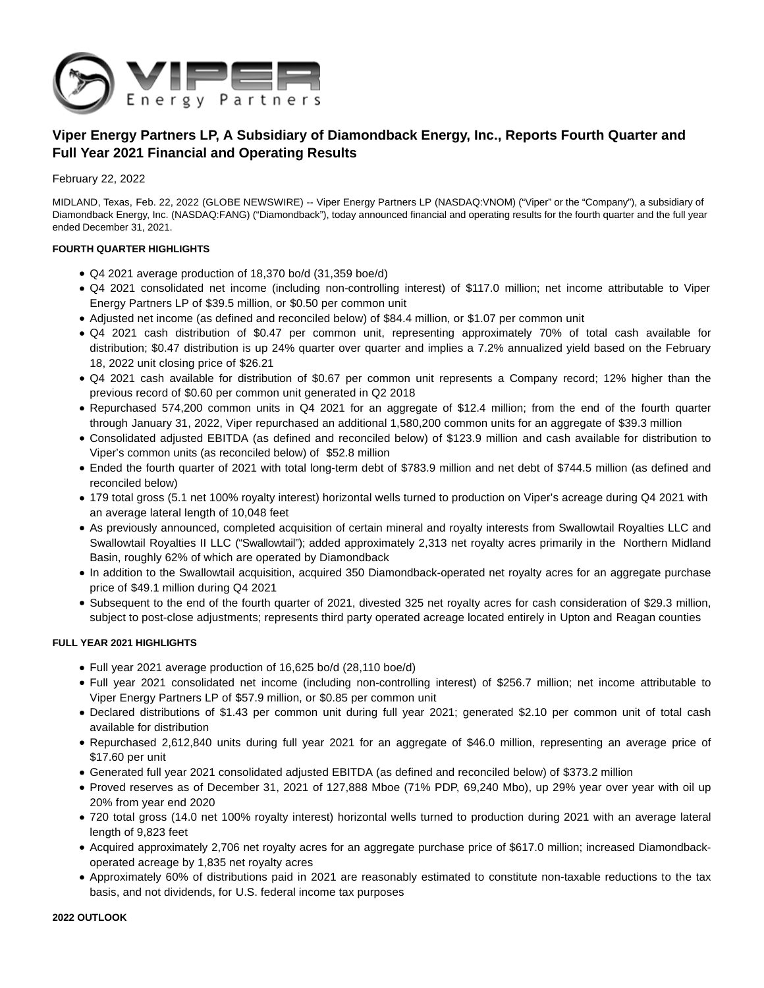

# **Viper Energy Partners LP, A Subsidiary of Diamondback Energy, Inc., Reports Fourth Quarter and Full Year 2021 Financial and Operating Results**

February 22, 2022

MIDLAND, Texas, Feb. 22, 2022 (GLOBE NEWSWIRE) -- Viper Energy Partners LP (NASDAQ:VNOM) ("Viper" or the "Company"), a subsidiary of Diamondback Energy, Inc. (NASDAQ:FANG) ("Diamondback"), today announced financial and operating results for the fourth quarter and the full year ended December 31, 2021.

## **FOURTH QUARTER HIGHLIGHTS**

- Q4 2021 average production of 18,370 bo/d (31,359 boe/d)
- Q4 2021 consolidated net income (including non-controlling interest) of \$117.0 million; net income attributable to Viper Energy Partners LP of \$39.5 million, or \$0.50 per common unit
- Adjusted net income (as defined and reconciled below) of \$84.4 million, or \$1.07 per common unit
- Q4 2021 cash distribution of \$0.47 per common unit, representing approximately 70% of total cash available for distribution; \$0.47 distribution is up 24% quarter over quarter and implies a 7.2% annualized yield based on the February 18, 2022 unit closing price of \$26.21
- Q4 2021 cash available for distribution of \$0.67 per common unit represents a Company record; 12% higher than the previous record of \$0.60 per common unit generated in Q2 2018
- Repurchased 574,200 common units in Q4 2021 for an aggregate of \$12.4 million; from the end of the fourth quarter through January 31, 2022, Viper repurchased an additional 1,580,200 common units for an aggregate of \$39.3 million
- Consolidated adjusted EBITDA (as defined and reconciled below) of \$123.9 million and cash available for distribution to Viper's common units (as reconciled below) of \$52.8 million
- Ended the fourth quarter of 2021 with total long-term debt of \$783.9 million and net debt of \$744.5 million (as defined and reconciled below)
- 179 total gross (5.1 net 100% royalty interest) horizontal wells turned to production on Viper's acreage during Q4 2021 with an average lateral length of 10,048 feet
- As previously announced, completed acquisition of certain mineral and royalty interests from Swallowtail Royalties LLC and Swallowtail Royalties II LLC ("Swallowtail"); added approximately 2,313 net royalty acres primarily in the Northern Midland Basin, roughly 62% of which are operated by Diamondback
- In addition to the Swallowtail acquisition, acquired 350 Diamondback-operated net royalty acres for an aggregate purchase price of \$49.1 million during Q4 2021
- Subsequent to the end of the fourth quarter of 2021, divested 325 net royalty acres for cash consideration of \$29.3 million, subject to post-close adjustments; represents third party operated acreage located entirely in Upton and Reagan counties

## **FULL YEAR 2021 HIGHLIGHTS**

- Full year 2021 average production of 16,625 bo/d (28,110 boe/d)
- Full year 2021 consolidated net income (including non-controlling interest) of \$256.7 million; net income attributable to Viper Energy Partners LP of \$57.9 million, or \$0.85 per common unit
- Declared distributions of \$1.43 per common unit during full year 2021; generated \$2.10 per common unit of total cash available for distribution
- Repurchased 2,612,840 units during full year 2021 for an aggregate of \$46.0 million, representing an average price of \$17.60 per unit
- Generated full year 2021 consolidated adjusted EBITDA (as defined and reconciled below) of \$373.2 million
- Proved reserves as of December 31, 2021 of 127,888 Mboe (71% PDP, 69,240 Mbo), up 29% year over year with oil up 20% from year end 2020
- 720 total gross (14.0 net 100% royalty interest) horizontal wells turned to production during 2021 with an average lateral length of 9,823 feet
- Acquired approximately 2,706 net royalty acres for an aggregate purchase price of \$617.0 million; increased Diamondbackoperated acreage by 1,835 net royalty acres
- Approximately 60% of distributions paid in 2021 are reasonably estimated to constitute non-taxable reductions to the tax basis, and not dividends, for U.S. federal income tax purposes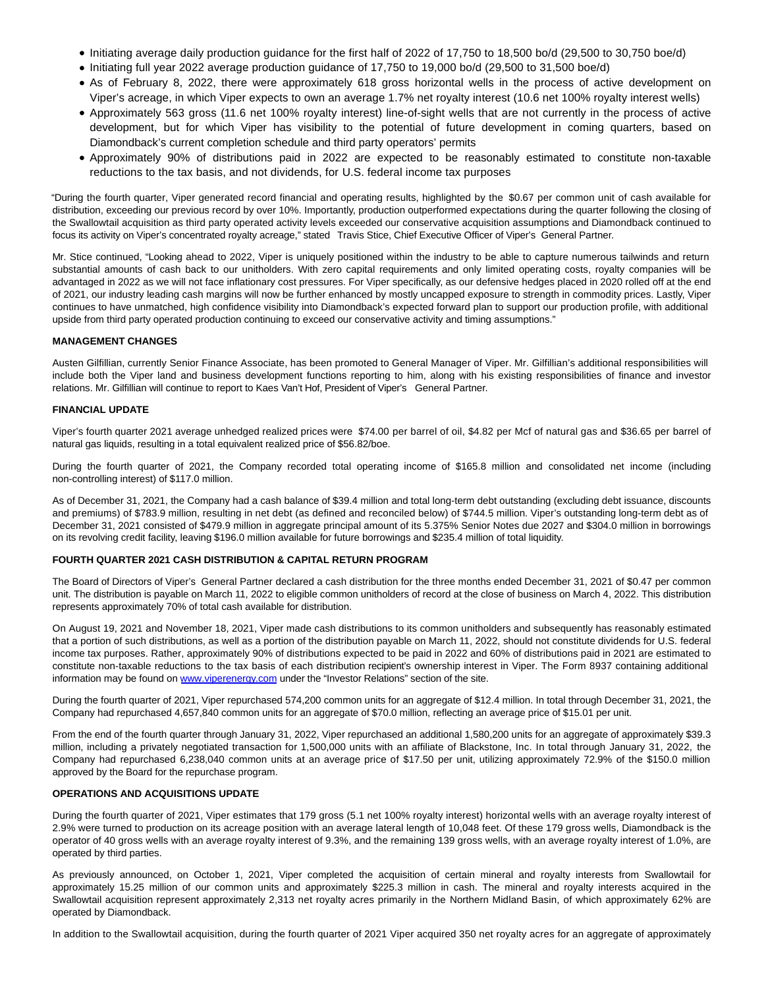- Initiating average daily production guidance for the first half of 2022 of 17,750 to 18,500 bo/d (29,500 to 30,750 boe/d)
- Initiating full year 2022 average production guidance of 17,750 to 19,000 bo/d (29,500 to 31,500 boe/d)
- As of February 8, 2022, there were approximately 618 gross horizontal wells in the process of active development on Viper's acreage, in which Viper expects to own an average 1.7% net royalty interest (10.6 net 100% royalty interest wells)
- Approximately 563 gross (11.6 net 100% royalty interest) line-of-sight wells that are not currently in the process of active development, but for which Viper has visibility to the potential of future development in coming quarters, based on Diamondback's current completion schedule and third party operators' permits
- Approximately 90% of distributions paid in 2022 are expected to be reasonably estimated to constitute non-taxable reductions to the tax basis, and not dividends, for U.S. federal income tax purposes

"During the fourth quarter, Viper generated record financial and operating results, highlighted by the \$0.67 per common unit of cash available for distribution, exceeding our previous record by over 10%. Importantly, production outperformed expectations during the quarter following the closing of the Swallowtail acquisition as third party operated activity levels exceeded our conservative acquisition assumptions and Diamondback continued to focus its activity on Viper's concentrated royalty acreage," stated Travis Stice, Chief Executive Officer of Viper's General Partner.

Mr. Stice continued, "Looking ahead to 2022, Viper is uniquely positioned within the industry to be able to capture numerous tailwinds and return substantial amounts of cash back to our unitholders. With zero capital requirements and only limited operating costs, royalty companies will be advantaged in 2022 as we will not face inflationary cost pressures. For Viper specifically, as our defensive hedges placed in 2020 rolled off at the end of 2021, our industry leading cash margins will now be further enhanced by mostly uncapped exposure to strength in commodity prices. Lastly, Viper continues to have unmatched, high confidence visibility into Diamondback's expected forward plan to support our production profile, with additional upside from third party operated production continuing to exceed our conservative activity and timing assumptions."

## **MANAGEMENT CHANGES**

Austen Gilfillian, currently Senior Finance Associate, has been promoted to General Manager of Viper. Mr. Gilfillian's additional responsibilities will include both the Viper land and business development functions reporting to him, along with his existing responsibilities of finance and investor relations. Mr. Gilfillian will continue to report to Kaes Van't Hof, President of Viper's General Partner.

#### **FINANCIAL UPDATE**

Viper's fourth quarter 2021 average unhedged realized prices were \$74.00 per barrel of oil, \$4.82 per Mcf of natural gas and \$36.65 per barrel of natural gas liquids, resulting in a total equivalent realized price of \$56.82/boe.

During the fourth quarter of 2021, the Company recorded total operating income of \$165.8 million and consolidated net income (including non-controlling interest) of \$117.0 million.

As of December 31, 2021, the Company had a cash balance of \$39.4 million and total long-term debt outstanding (excluding debt issuance, discounts and premiums) of \$783.9 million, resulting in net debt (as defined and reconciled below) of \$744.5 million. Viper's outstanding long-term debt as of December 31, 2021 consisted of \$479.9 million in aggregate principal amount of its 5.375% Senior Notes due 2027 and \$304.0 million in borrowings on its revolving credit facility, leaving \$196.0 million available for future borrowings and \$235.4 million of total liquidity.

## **FOURTH QUARTER 2021 CASH DISTRIBUTION & CAPITAL RETURN PROGRAM**

The Board of Directors of Viper's General Partner declared a cash distribution for the three months ended December 31, 2021 of \$0.47 per common unit. The distribution is payable on March 11, 2022 to eligible common unitholders of record at the close of business on March 4, 2022. This distribution represents approximately 70% of total cash available for distribution.

On August 19, 2021 and November 18, 2021, Viper made cash distributions to its common unitholders and subsequently has reasonably estimated that a portion of such distributions, as well as a portion of the distribution payable on March 11, 2022, should not constitute dividends for U.S. federal income tax purposes. Rather, approximately 90% of distributions expected to be paid in 2022 and 60% of distributions paid in 2021 are estimated to constitute non-taxable reductions to the tax basis of each distribution recipient's ownership interest in Viper. The Form 8937 containing additional information may be found on [www.viperenergy.com u](http://www.viperenergy.com/)nder the "Investor Relations" section of the site.

During the fourth quarter of 2021, Viper repurchased 574,200 common units for an aggregate of \$12.4 million. In total through December 31, 2021, the Company had repurchased 4,657,840 common units for an aggregate of \$70.0 million, reflecting an average price of \$15.01 per unit.

From the end of the fourth quarter through January 31, 2022, Viper repurchased an additional 1,580,200 units for an aggregate of approximately \$39.3 million, including a privately negotiated transaction for 1,500,000 units with an affiliate of Blackstone, Inc. In total through January 31, 2022, the Company had repurchased 6,238,040 common units at an average price of \$17.50 per unit, utilizing approximately 72.9% of the \$150.0 million approved by the Board for the repurchase program.

#### **OPERATIONS AND ACQUISITIONS UPDATE**

During the fourth quarter of 2021, Viper estimates that 179 gross (5.1 net 100% royalty interest) horizontal wells with an average royalty interest of 2.9% were turned to production on its acreage position with an average lateral length of 10,048 feet. Of these 179 gross wells, Diamondback is the operator of 40 gross wells with an average royalty interest of 9.3%, and the remaining 139 gross wells, with an average royalty interest of 1.0%, are operated by third parties.

As previously announced, on October 1, 2021, Viper completed the acquisition of certain mineral and royalty interests from Swallowtail for approximately 15.25 million of our common units and approximately \$225.3 million in cash. The mineral and royalty interests acquired in the Swallowtail acquisition represent approximately 2,313 net royalty acres primarily in the Northern Midland Basin, of which approximately 62% are operated by Diamondback.

In addition to the Swallowtail acquisition, during the fourth quarter of 2021 Viper acquired 350 net royalty acres for an aggregate of approximately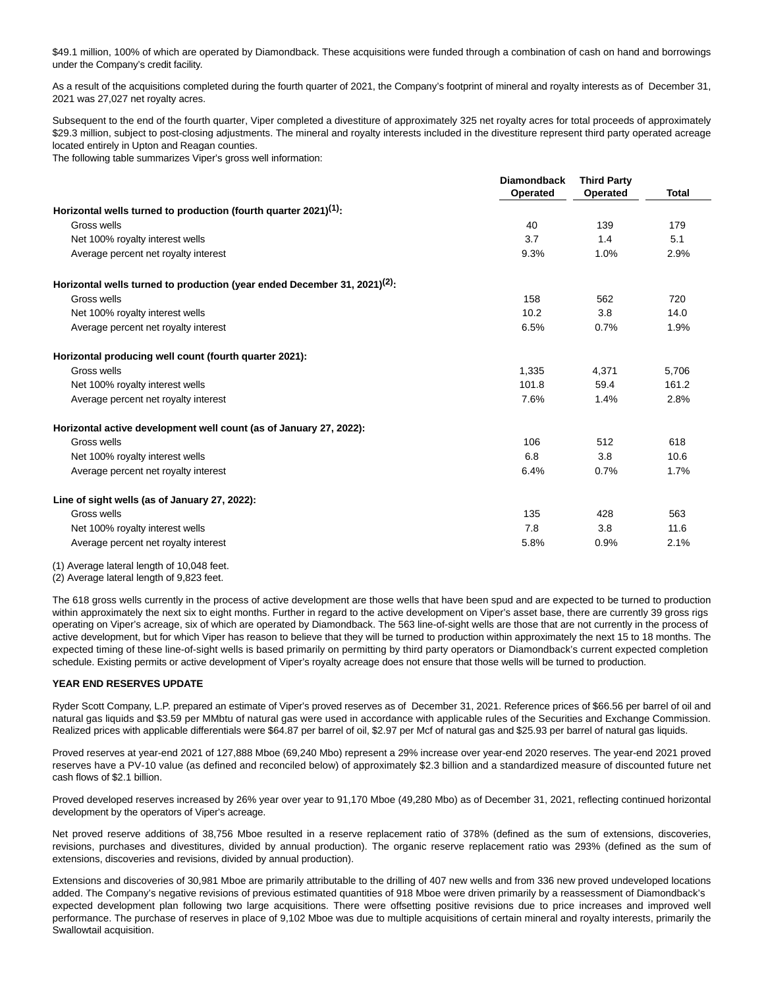\$49.1 million, 100% of which are operated by Diamondback. These acquisitions were funded through a combination of cash on hand and borrowings under the Company's credit facility.

As a result of the acquisitions completed during the fourth quarter of 2021, the Company's footprint of mineral and royalty interests as of December 31, 2021 was 27,027 net royalty acres.

Subsequent to the end of the fourth quarter, Viper completed a divestiture of approximately 325 net royalty acres for total proceeds of approximately \$29.3 million, subject to post-closing adjustments. The mineral and royalty interests included in the divestiture represent third party operated acreage located entirely in Upton and Reagan counties.

The following table summarizes Viper's gross well information:

| <b>Diamondback</b> | <b>Third Party</b> |              |
|--------------------|--------------------|--------------|
|                    |                    | <b>Total</b> |
|                    |                    |              |
| 40                 | 139                | 179          |
| 3.7                | 1.4                | 5.1          |
| 9.3%               | 1.0%               | 2.9%         |
|                    |                    |              |
| 158                | 562                | 720          |
| 10.2               | 3.8                | 14.0         |
| 6.5%               | 0.7%               | 1.9%         |
|                    |                    |              |
| 1,335              | 4,371              | 5,706        |
| 101.8              | 59.4               | 161.2        |
| 7.6%               | 1.4%               | 2.8%         |
|                    |                    |              |
| 106                | 512                | 618          |
| 6.8                | 3.8                | 10.6         |
| 6.4%               | 0.7%               | 1.7%         |
|                    |                    |              |
| 135                | 428                | 563          |
| 7.8                | 3.8                | 11.6         |
| 5.8%               | 0.9%               | 2.1%         |
|                    | Operated           | Operated     |

(1) Average lateral length of 10,048 feet.

(2) Average lateral length of 9,823 feet.

The 618 gross wells currently in the process of active development are those wells that have been spud and are expected to be turned to production within approximately the next six to eight months. Further in regard to the active development on Viper's asset base, there are currently 39 gross rigs operating on Viper's acreage, six of which are operated by Diamondback. The 563 line-of-sight wells are those that are not currently in the process of active development, but for which Viper has reason to believe that they will be turned to production within approximately the next 15 to 18 months. The expected timing of these line-of-sight wells is based primarily on permitting by third party operators or Diamondback's current expected completion schedule. Existing permits or active development of Viper's royalty acreage does not ensure that those wells will be turned to production.

## **YEAR END RESERVES UPDATE**

Ryder Scott Company, L.P. prepared an estimate of Viper's proved reserves as of December 31, 2021. Reference prices of \$66.56 per barrel of oil and natural gas liquids and \$3.59 per MMbtu of natural gas were used in accordance with applicable rules of the Securities and Exchange Commission. Realized prices with applicable differentials were \$64.87 per barrel of oil, \$2.97 per Mcf of natural gas and \$25.93 per barrel of natural gas liquids.

Proved reserves at year-end 2021 of 127,888 Mboe (69,240 Mbo) represent a 29% increase over year-end 2020 reserves. The year-end 2021 proved reserves have a PV-10 value (as defined and reconciled below) of approximately \$2.3 billion and a standardized measure of discounted future net cash flows of \$2.1 billion.

Proved developed reserves increased by 26% year over year to 91,170 Mboe (49,280 Mbo) as of December 31, 2021, reflecting continued horizontal development by the operators of Viper's acreage.

Net proved reserve additions of 38,756 Mboe resulted in a reserve replacement ratio of 378% (defined as the sum of extensions, discoveries, revisions, purchases and divestitures, divided by annual production). The organic reserve replacement ratio was 293% (defined as the sum of extensions, discoveries and revisions, divided by annual production).

Extensions and discoveries of 30,981 Mboe are primarily attributable to the drilling of 407 new wells and from 336 new proved undeveloped locations added. The Company's negative revisions of previous estimated quantities of 918 Mboe were driven primarily by a reassessment of Diamondback's expected development plan following two large acquisitions. There were offsetting positive revisions due to price increases and improved well performance. The purchase of reserves in place of 9,102 Mboe was due to multiple acquisitions of certain mineral and royalty interests, primarily the Swallowtail acquisition.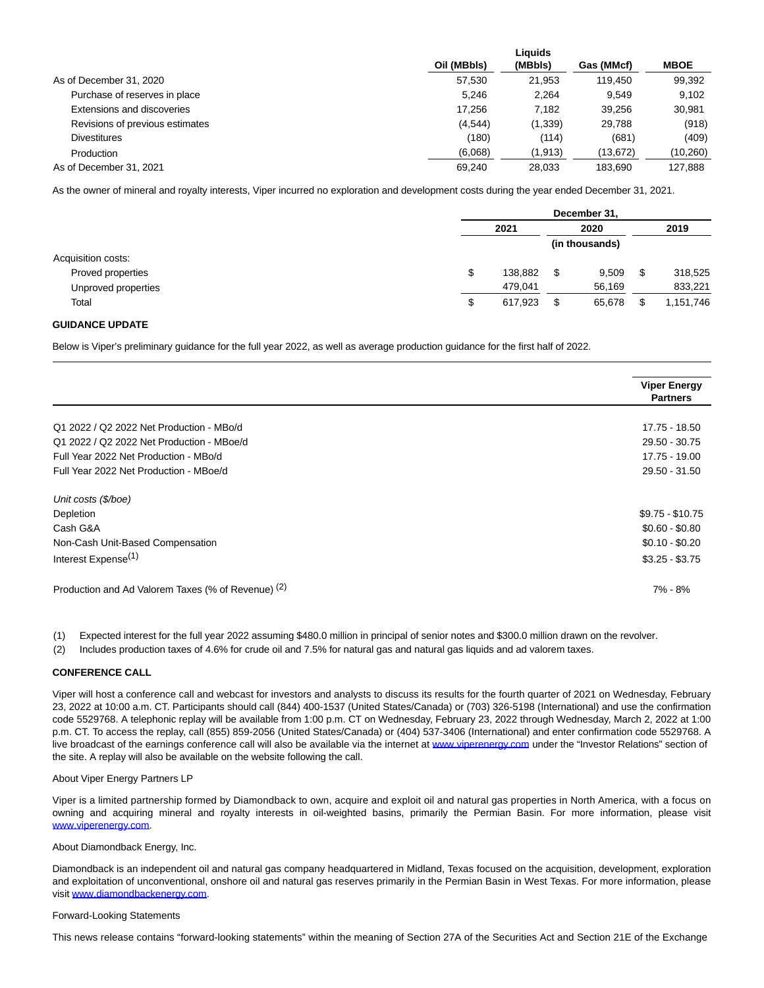|                                 |             | Liauids  |            |             |
|---------------------------------|-------------|----------|------------|-------------|
|                                 | Oil (MBbls) | (MBbls)  | Gas (MMcf) | <b>MBOE</b> |
| As of December 31, 2020         | 57.530      | 21.953   | 119.450    | 99,392      |
| Purchase of reserves in place   | 5.246       | 2.264    | 9.549      | 9.102       |
| Extensions and discoveries      | 17.256      | 7.182    | 39,256     | 30,981      |
| Revisions of previous estimates | (4,544)     | (1, 339) | 29.788     | (918)       |
| <b>Divestitures</b>             | (180)       | (114)    | (681)      | (409)       |
| Production                      | (6,068)     | (1,913)  | (13,672)   | (10,260)    |
| As of December 31, 2021         | 69.240      | 28,033   | 183.690    | 127,888     |

As the owner of mineral and royalty interests, Viper incurred no exploration and development costs during the year ended December 31, 2021.

|                     | December 31. |              |    |                |  |           |  |
|---------------------|--------------|--------------|----|----------------|--|-----------|--|
|                     |              | 2021<br>2020 |    |                |  | 2019      |  |
|                     |              |              |    | (in thousands) |  |           |  |
| Acquisition costs:  |              |              |    |                |  |           |  |
| Proved properties   | \$           | 138,882      | \$ | 9.509          |  | 318,525   |  |
| Unproved properties |              | 479,041      |    | 56,169         |  | 833,221   |  |
| Total               | S            | 617,923      | \$ | 65,678         |  | 1,151,746 |  |

## **GUIDANCE UPDATE**

Below is Viper's preliminary guidance for the full year 2022, as well as average production guidance for the first half of 2022.

|                                                    | <b>Viper Energy</b><br><b>Partners</b> |
|----------------------------------------------------|----------------------------------------|
|                                                    |                                        |
| Q1 2022 / Q2 2022 Net Production - MBo/d           | 17.75 - 18.50                          |
| Q1 2022 / Q2 2022 Net Production - MBoe/d          | 29.50 - 30.75                          |
| Full Year 2022 Net Production - MBo/d              | 17.75 - 19.00                          |
| Full Year 2022 Net Production - MBoe/d             | 29.50 - 31.50                          |
| Unit costs (\$/boe)                                |                                        |
| Depletion                                          | $$9.75 - $10.75$                       |
| Cash G&A                                           | $$0.60 - $0.80$                        |
| Non-Cash Unit-Based Compensation                   | $$0.10 - $0.20$                        |
| Interest Expense <sup>(1)</sup>                    | $$3.25 - $3.75$                        |
| Production and Ad Valorem Taxes (% of Revenue) (2) | 7% - 8%                                |

(1) Expected interest for the full year 2022 assuming \$480.0 million in principal of senior notes and \$300.0 million drawn on the revolver.

(2) Includes production taxes of 4.6% for crude oil and 7.5% for natural gas and natural gas liquids and ad valorem taxes.

## **CONFERENCE CALL**

Viper will host a conference call and webcast for investors and analysts to discuss its results for the fourth quarter of 2021 on Wednesday, February 23, 2022 at 10:00 a.m. CT. Participants should call (844) 400-1537 (United States/Canada) or (703) 326-5198 (International) and use the confirmation code 5529768. A telephonic replay will be available from 1:00 p.m. CT on Wednesday, February 23, 2022 through Wednesday, March 2, 2022 at 1:00 p.m. CT. To access the replay, call (855) 859-2056 (United States/Canada) or (404) 537-3406 (International) and enter confirmation code 5529768. A live broadcast of the earnings conference call will also be available via the internet at [www.viperenergy.com u](http://www.viperenergy.com/)nder the "Investor Relations" section of the site. A replay will also be available on the website following the call.

#### About Viper Energy Partners LP

Viper is a limited partnership formed by Diamondback to own, acquire and exploit oil and natural gas properties in North America, with a focus on owning and acquiring mineral and royalty interests in oil-weighted basins, primarily the Permian Basin. For more information, please visit [www.viperenergy.com.](https://www.globenewswire.com/Tracker?data=AcT_nInWwXDknLzwBPkvOaDBXwBcA90ewbnRkZmEM8I-fHIC9MMpXXnnWDpQqUTbzcLX5-F_GZSXjCjWPlGq5CmjZVH7cm8Z0Gg24xC-wTM=) 

#### About Diamondback Energy, Inc.

Diamondback is an independent oil and natural gas company headquartered in Midland, Texas focused on the acquisition, development, exploration and exploitation of unconventional, onshore oil and natural gas reserves primarily in the Permian Basin in West Texas. For more information, please visit [www.diamondbackenergy.com.](https://www.globenewswire.com/Tracker?data=PJ_kvodIAN8N8g69TYZQ4Ce-e5L8Qm4Ozhdh8bZnPdDMBV0LNQiMkj_Go5YRxtXYBclOftm-71AbPOiGxCQ_iap47F5PhbvSC-FLfaAcAJI=) 

#### Forward-Looking Statements

This news release contains "forward-looking statements" within the meaning of Section 27A of the Securities Act and Section 21E of the Exchange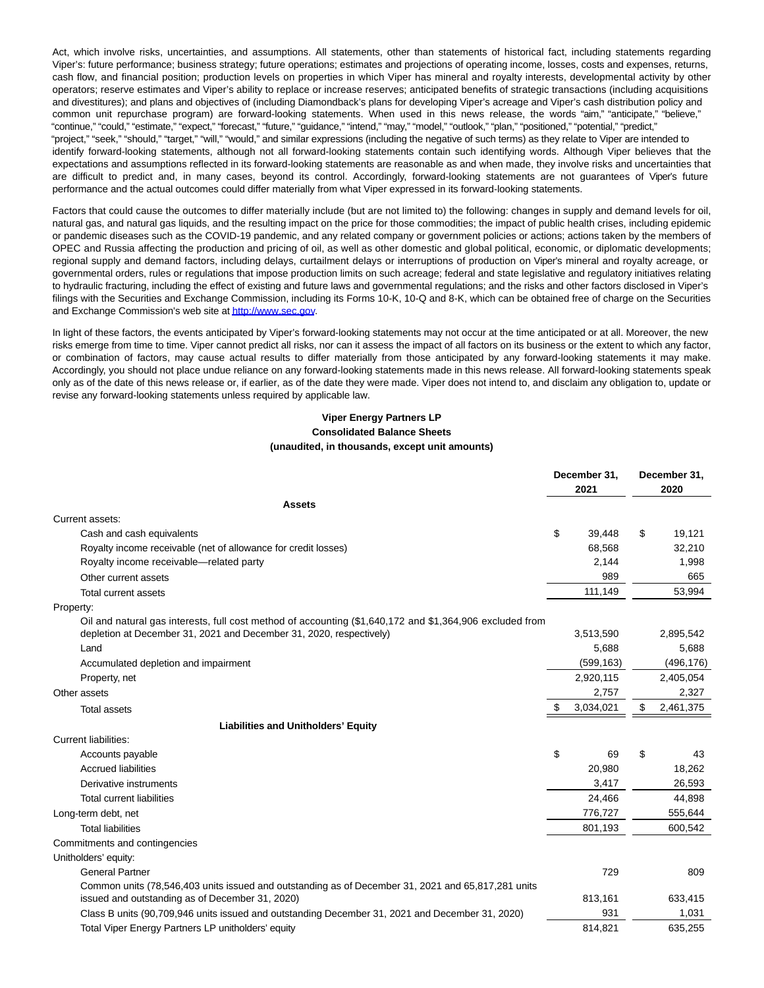Act, which involve risks, uncertainties, and assumptions. All statements, other than statements of historical fact, including statements regarding Viper's: future performance; business strategy; future operations; estimates and projections of operating income, losses, costs and expenses, returns, cash flow, and financial position; production levels on properties in which Viper has mineral and royalty interests, developmental activity by other operators; reserve estimates and Viper's ability to replace or increase reserves; anticipated benefits of strategic transactions (including acquisitions and divestitures); and plans and objectives of (including Diamondback's plans for developing Viper's acreage and Viper's cash distribution policy and common unit repurchase program) are forward-looking statements. When used in this news release, the words "aim," "anticipate," "believe," "continue," "could," "estimate," "expect," "forecast," "future," "guidance," "intend," "may," "model," "outlook," "plan," "positioned," "potential," "predict," "project," "seek," "should," "target," "will," "would," and similar expressions (including the negative of such terms) as they relate to Viper are intended to identify forward-looking statements, although not all forward-looking statements contain such identifying words. Although Viper believes that the expectations and assumptions reflected in its forward-looking statements are reasonable as and when made, they involve risks and uncertainties that are difficult to predict and, in many cases, beyond its control. Accordingly, forward-looking statements are not guarantees of Viper's future performance and the actual outcomes could differ materially from what Viper expressed in its forward-looking statements.

Factors that could cause the outcomes to differ materially include (but are not limited to) the following: changes in supply and demand levels for oil, natural gas, and natural gas liquids, and the resulting impact on the price for those commodities; the impact of public health crises, including epidemic or pandemic diseases such as the COVID-19 pandemic, and any related company or government policies or actions; actions taken by the members of OPEC and Russia affecting the production and pricing of oil, as well as other domestic and global political, economic, or diplomatic developments; regional supply and demand factors, including delays, curtailment delays or interruptions of production on Viper's mineral and royalty acreage, or governmental orders, rules or regulations that impose production limits on such acreage; federal and state legislative and regulatory initiatives relating to hydraulic fracturing, including the effect of existing and future laws and governmental regulations; and the risks and other factors disclosed in Viper's filings with the Securities and Exchange Commission, including its Forms 10-K, 10-Q and 8-K, which can be obtained free of charge on the Securities and Exchange Commission's web site a[t http://www.sec.gov.](http://www.sec.gov/)

In light of these factors, the events anticipated by Viper's forward-looking statements may not occur at the time anticipated or at all. Moreover, the new risks emerge from time to time. Viper cannot predict all risks, nor can it assess the impact of all factors on its business or the extent to which any factor, or combination of factors, may cause actual results to differ materially from those anticipated by any forward-looking statements it may make. Accordingly, you should not place undue reliance on any forward-looking statements made in this news release. All forward-looking statements speak only as of the date of this news release or, if earlier, as of the date they were made. Viper does not intend to, and disclaim any obligation to, update or revise any forward-looking statements unless required by applicable law.

## **Viper Energy Partners LP Consolidated Balance Sheets (unaudited, in thousands, except unit amounts)**

|                                                                                                          | December 31,    |    | December 31, |
|----------------------------------------------------------------------------------------------------------|-----------------|----|--------------|
|                                                                                                          | 2021            |    | 2020         |
| <b>Assets</b>                                                                                            |                 |    |              |
| Current assets:                                                                                          |                 |    |              |
| Cash and cash equivalents                                                                                | \$<br>39,448    | \$ | 19,121       |
| Royalty income receivable (net of allowance for credit losses)                                           | 68,568          |    | 32,210       |
| Royalty income receivable-related party                                                                  | 2,144           |    | 1,998        |
| Other current assets                                                                                     | 989             |    | 665          |
| Total current assets                                                                                     | 111,149         |    | 53,994       |
| Property:                                                                                                |                 |    |              |
| Oil and natural gas interests, full cost method of accounting (\$1,640,172 and \$1,364,906 excluded from |                 |    |              |
| depletion at December 31, 2021 and December 31, 2020, respectively)                                      | 3,513,590       |    | 2,895,542    |
| Land                                                                                                     | 5,688           |    | 5,688        |
| Accumulated depletion and impairment                                                                     | (599, 163)      |    | (496, 176)   |
| Property, net                                                                                            | 2,920,115       |    | 2,405,054    |
| Other assets                                                                                             | 2,757           |    | 2,327        |
| <b>Total assets</b>                                                                                      | \$<br>3,034,021 | \$ | 2,461,375    |
| <b>Liabilities and Unitholders' Equity</b>                                                               |                 |    |              |
| <b>Current liabilities:</b>                                                                              |                 |    |              |
| Accounts payable                                                                                         | \$<br>69        | \$ | 43           |
| <b>Accrued liabilities</b>                                                                               | 20,980          |    | 18,262       |
| Derivative instruments                                                                                   | 3,417           |    | 26,593       |
| <b>Total current liabilities</b>                                                                         | 24,466          |    | 44,898       |
| Long-term debt, net                                                                                      | 776,727         |    | 555,644      |
| <b>Total liabilities</b>                                                                                 | 801,193         |    | 600,542      |
| Commitments and contingencies                                                                            |                 |    |              |
| Unitholders' equity:                                                                                     |                 |    |              |
| <b>General Partner</b>                                                                                   | 729             |    | 809          |
| Common units (78,546,403 units issued and outstanding as of December 31, 2021 and 65,817,281 units       |                 |    |              |
| issued and outstanding as of December 31, 2020)                                                          | 813,161         |    | 633,415      |
| Class B units (90,709,946 units issued and outstanding December 31, 2021 and December 31, 2020)          | 931             |    | 1,031        |
| Total Viper Energy Partners LP unitholders' equity                                                       | 814,821         |    | 635,255      |
|                                                                                                          |                 |    |              |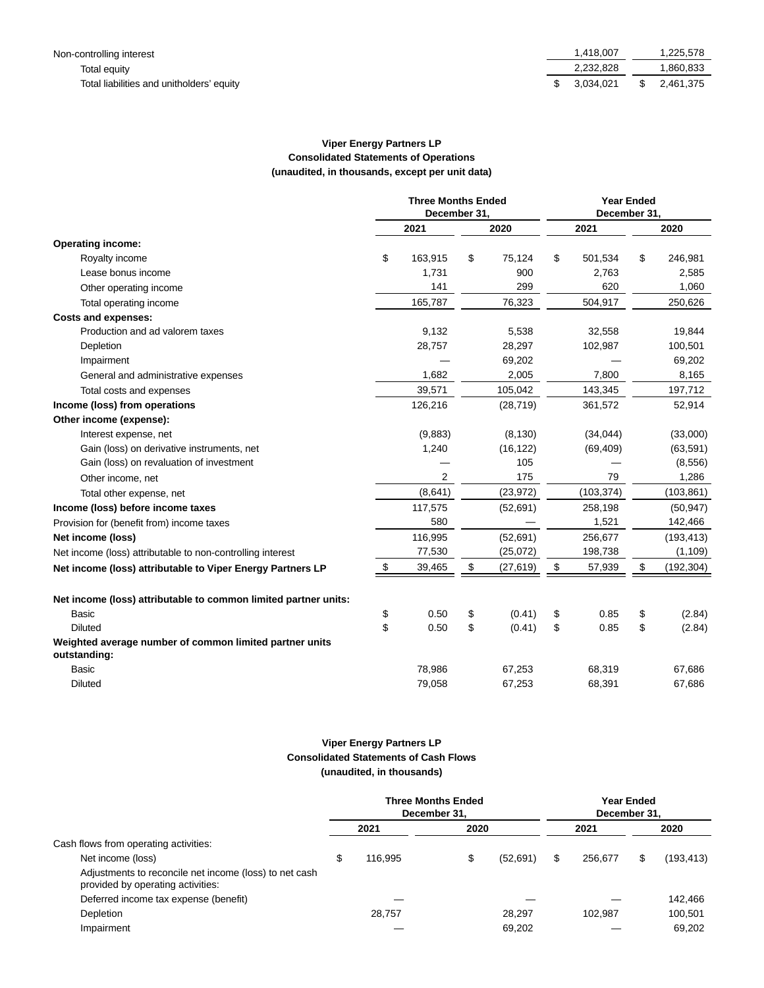|   | 1,418,007 |   | 1,225,578 |
|---|-----------|---|-----------|
|   | 2,232,828 |   | 1,860,833 |
| S | 3,034,021 | S | 2,461,375 |

## **Viper Energy Partners LP Consolidated Statements of Operations (unaudited, in thousands, except per unit data)**

|                                                                         | <b>Three Months Ended</b><br>December 31. |                |      |           | <b>Year Ended</b><br>December 31. |            |    |            |
|-------------------------------------------------------------------------|-------------------------------------------|----------------|------|-----------|-----------------------------------|------------|----|------------|
|                                                                         |                                           | 2021           | 2020 |           | 2021                              |            |    | 2020       |
| <b>Operating income:</b>                                                |                                           |                |      |           |                                   |            |    |            |
| Royalty income                                                          | \$                                        | 163,915        | \$   | 75,124    | \$                                | 501,534    | \$ | 246,981    |
| Lease bonus income                                                      |                                           | 1,731          |      | 900       |                                   | 2,763      |    | 2,585      |
| Other operating income                                                  |                                           | 141            |      | 299       |                                   | 620        |    | 1,060      |
| Total operating income                                                  |                                           | 165,787        |      | 76,323    |                                   | 504,917    |    | 250,626    |
| <b>Costs and expenses:</b>                                              |                                           |                |      |           |                                   |            |    |            |
| Production and ad valorem taxes                                         |                                           | 9,132          |      | 5,538     |                                   | 32,558     |    | 19,844     |
| Depletion                                                               |                                           | 28,757         |      | 28,297    |                                   | 102,987    |    | 100,501    |
| Impairment                                                              |                                           |                |      | 69,202    |                                   |            |    | 69,202     |
| General and administrative expenses                                     |                                           | 1,682          |      | 2,005     |                                   | 7,800      |    | 8,165      |
| Total costs and expenses                                                |                                           | 39,571         |      | 105,042   |                                   | 143,345    |    | 197,712    |
| Income (loss) from operations                                           |                                           | 126,216        |      | (28, 719) |                                   | 361,572    |    | 52,914     |
| Other income (expense):                                                 |                                           |                |      |           |                                   |            |    |            |
| Interest expense, net                                                   |                                           | (9,883)        |      | (8, 130)  |                                   | (34, 044)  |    | (33,000)   |
| Gain (loss) on derivative instruments, net                              |                                           | 1,240          |      | (16, 122) |                                   | (69, 409)  |    | (63, 591)  |
| Gain (loss) on revaluation of investment                                |                                           |                |      | 105       |                                   |            |    | (8,556)    |
| Other income, net                                                       |                                           | $\overline{c}$ |      | 175       |                                   | 79         |    | 1,286      |
| Total other expense, net                                                |                                           | (8,641)        |      | (23, 972) |                                   | (103, 374) |    | (103, 861) |
| Income (loss) before income taxes                                       |                                           | 117,575        |      | (52, 691) |                                   | 258,198    |    | (50, 947)  |
| Provision for (benefit from) income taxes                               |                                           | 580            |      |           |                                   | 1,521      |    | 142,466    |
| Net income (loss)                                                       |                                           | 116,995        |      | (52, 691) |                                   | 256,677    |    | (193, 413) |
| Net income (loss) attributable to non-controlling interest              |                                           | 77,530         |      | (25,072)  |                                   | 198,738    |    | (1, 109)   |
| Net income (loss) attributable to Viper Energy Partners LP              | \$                                        | 39,465         | \$   | (27, 619) | \$                                | 57,939     | \$ | (192, 304) |
| Net income (loss) attributable to common limited partner units:         |                                           |                |      |           |                                   |            |    |            |
| Basic                                                                   | \$                                        | 0.50           | \$   | (0.41)    | \$                                | 0.85       | \$ | (2.84)     |
| <b>Diluted</b>                                                          | \$                                        | 0.50           | \$   | (0.41)    | \$                                | 0.85       | \$ | (2.84)     |
| Weighted average number of common limited partner units<br>outstanding: |                                           |                |      |           |                                   |            |    |            |
| Basic                                                                   |                                           | 78,986         |      | 67,253    |                                   | 68,319     |    | 67,686     |
| Diluted                                                                 |                                           | 79,058         |      | 67,253    |                                   | 68,391     |    | 67,686     |

## **Viper Energy Partners LP Consolidated Statements of Cash Flows (unaudited, in thousands)**

| <b>Three Months Ended</b><br>December 31. |         |  |          |      | Year Ended<br>December 31, |   |           |  |
|-------------------------------------------|---------|--|----------|------|----------------------------|---|-----------|--|
|                                           | 2021    |  |          |      | 2021                       |   | 2020      |  |
|                                           |         |  |          |      |                            |   |           |  |
| \$                                        | 116.995 |  | (52,691) |      | 256.677                    | S | (193,413) |  |
|                                           |         |  |          |      |                            |   |           |  |
|                                           |         |  |          |      |                            |   | 142.466   |  |
|                                           | 28.757  |  | 28.297   |      | 102.987                    |   | 100.501   |  |
|                                           |         |  | 69,202   |      |                            |   | 69,202    |  |
|                                           |         |  |          | 2020 |                            |   |           |  |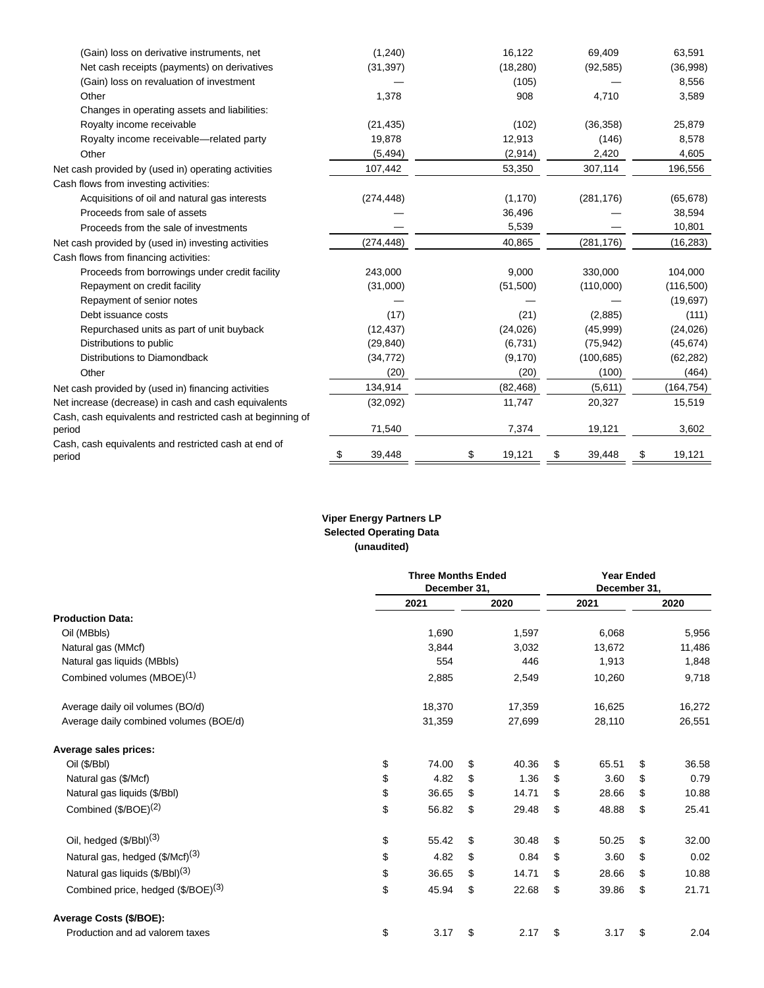| (Gain) loss on derivative instruments, net                           | (1,240)    |   | 16,122    | 69,409     | 63,591     |
|----------------------------------------------------------------------|------------|---|-----------|------------|------------|
| Net cash receipts (payments) on derivatives                          | (31, 397)  |   | (18, 280) | (92, 585)  | (36,998)   |
| (Gain) loss on revaluation of investment                             |            |   | (105)     |            | 8,556      |
| Other                                                                | 1,378      |   | 908       | 4,710      | 3,589      |
| Changes in operating assets and liabilities:                         |            |   |           |            |            |
| Royalty income receivable                                            | (21, 435)  |   | (102)     | (36, 358)  | 25,879     |
| Royalty income receivable-related party                              | 19,878     |   | 12,913    | (146)      | 8,578      |
| Other                                                                | (5, 494)   |   | (2,914)   | 2,420      | 4,605      |
| Net cash provided by (used in) operating activities                  | 107,442    |   | 53,350    | 307,114    | 196,556    |
| Cash flows from investing activities:                                |            |   |           |            |            |
| Acquisitions of oil and natural gas interests                        | (274, 448) |   | (1, 170)  | (281, 176) | (65, 678)  |
| Proceeds from sale of assets                                         |            |   | 36,496    |            | 38,594     |
| Proceeds from the sale of investments                                |            |   | 5,539     |            | 10,801     |
| Net cash provided by (used in) investing activities                  | (274, 448) |   | 40,865    | (281, 176) | (16, 283)  |
| Cash flows from financing activities:                                |            |   |           |            |            |
| Proceeds from borrowings under credit facility                       | 243,000    |   | 9,000     | 330,000    | 104,000    |
| Repayment on credit facility                                         | (31,000)   |   | (51,500)  | (110,000)  | (116,500)  |
| Repayment of senior notes                                            |            |   |           |            | (19,697)   |
| Debt issuance costs                                                  | (17)       |   | (21)      | (2,885)    | (111)      |
| Repurchased units as part of unit buyback                            | (12, 437)  |   | (24, 026) | (45,999)   | (24, 026)  |
| Distributions to public                                              | (29, 840)  |   | (6,731)   | (75, 942)  | (45, 674)  |
| Distributions to Diamondback                                         | (34, 772)  |   | (9, 170)  | (100, 685) | (62, 282)  |
| Other                                                                | (20)       |   | (20)      | (100)      | (464)      |
| Net cash provided by (used in) financing activities                  | 134,914    |   | (82, 468) | (5,611)    | (164, 754) |
| Net increase (decrease) in cash and cash equivalents                 | (32,092)   |   | 11,747    | 20,327     | 15,519     |
| Cash, cash equivalents and restricted cash at beginning of<br>period | 71,540     |   | 7,374     | 19,121     | 3,602      |
| Cash, cash equivalents and restricted cash at end of<br>period       | 39,448     | S | 19,121    | 39,448     | 19,121     |
|                                                                      |            |   |           |            |            |

## **Viper Energy Partners LP Selected Operating Data (unaudited)**

|                                                | <b>Three Months Ended</b><br>December 31, |    |        |    | <b>Year Ended</b><br>December 31, |    |        |  |
|------------------------------------------------|-------------------------------------------|----|--------|----|-----------------------------------|----|--------|--|
|                                                | 2021<br>2020                              |    |        |    | 2021                              |    | 2020   |  |
| <b>Production Data:</b>                        |                                           |    |        |    |                                   |    |        |  |
| Oil (MBbls)                                    | 1,690                                     |    | 1,597  |    | 6,068                             |    | 5,956  |  |
| Natural gas (MMcf)                             | 3,844                                     |    | 3,032  |    | 13,672                            |    | 11,486 |  |
| Natural gas liquids (MBbls)                    | 554                                       |    | 446    |    | 1,913                             |    | 1,848  |  |
| Combined volumes (MBOE) <sup>(1)</sup>         | 2,885                                     |    | 2,549  |    | 10,260                            |    | 9,718  |  |
| Average daily oil volumes (BO/d)               | 18,370                                    |    | 17,359 |    | 16,625                            |    | 16,272 |  |
| Average daily combined volumes (BOE/d)         | 31,359                                    |    | 27,699 |    | 28,110                            |    | 26,551 |  |
| Average sales prices:                          |                                           |    |        |    |                                   |    |        |  |
| Oil (\$/Bbl)                                   | \$<br>74.00                               | \$ | 40.36  | \$ | 65.51                             | \$ | 36.58  |  |
| Natural gas (\$/Mcf)                           | \$<br>4.82                                | \$ | 1.36   | \$ | 3.60                              | \$ | 0.79   |  |
| Natural gas liquids (\$/Bbl)                   | \$<br>36.65                               | \$ | 14.71  | \$ | 28.66                             | \$ | 10.88  |  |
| Combined (\$/BOE) <sup>(2)</sup>               | \$<br>56.82                               | \$ | 29.48  | \$ | 48.88                             | \$ | 25.41  |  |
| Oil, hedged (\$/Bbl) <sup>(3)</sup>            | \$<br>55.42                               | \$ | 30.48  | \$ | 50.25                             | \$ | 32.00  |  |
| Natural gas, hedged (\$/Mcf) <sup>(3)</sup>    | \$<br>4.82                                | \$ | 0.84   | \$ | 3.60                              | \$ | 0.02   |  |
| Natural gas liquids (\$/Bbl) <sup>(3)</sup>    | \$<br>36.65                               | \$ | 14.71  | \$ | 28.66                             | \$ | 10.88  |  |
| Combined price, hedged (\$/BOE) <sup>(3)</sup> | \$<br>45.94                               | \$ | 22.68  | \$ | 39.86                             | \$ | 21.71  |  |
| Average Costs (\$/BOE):                        |                                           |    |        |    |                                   |    |        |  |
| Production and ad valorem taxes                | \$<br>3.17                                | \$ | 2.17   | \$ | 3.17                              | \$ | 2.04   |  |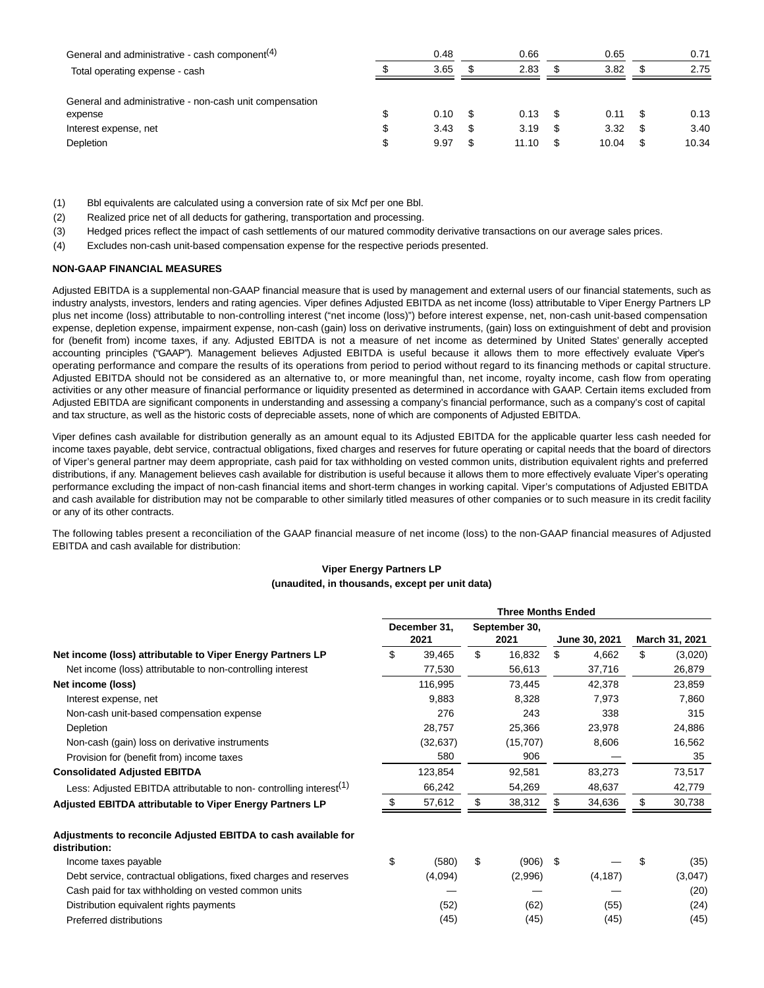| General and administrative - cash component <sup>(4)</sup> | 0.48 |      | 0.66 |       | 0.65 |       | 0.71  |
|------------------------------------------------------------|------|------|------|-------|------|-------|-------|
| Total operating expense - cash                             |      | 3.65 |      | 2.83  |      | 3.82  | 2.75  |
| General and administrative - non-cash unit compensation    |      |      |      |       |      |       |       |
| expense                                                    |      | 0.10 |      | 0.13  |      | 0.11  | 0.13  |
| Interest expense, net                                      |      | 3.43 |      | 3.19  |      | 3.32  | 3.40  |
| Depletion                                                  |      | 9.97 |      | 11.10 |      | 10.04 | 10.34 |

(1) Bbl equivalents are calculated using a conversion rate of six Mcf per one Bbl.

(2) Realized price net of all deducts for gathering, transportation and processing.

(3) Hedged prices reflect the impact of cash settlements of our matured commodity derivative transactions on our average sales prices.

(4) Excludes non-cash unit-based compensation expense for the respective periods presented.

## **NON-GAAP FINANCIAL MEASURES**

Adjusted EBITDA is a supplemental non-GAAP financial measure that is used by management and external users of our financial statements, such as industry analysts, investors, lenders and rating agencies. Viper defines Adjusted EBITDA as net income (loss) attributable to Viper Energy Partners LP plus net income (loss) attributable to non-controlling interest ("net income (loss)") before interest expense, net, non-cash unit-based compensation expense, depletion expense, impairment expense, non-cash (gain) loss on derivative instruments, (gain) loss on extinguishment of debt and provision for (benefit from) income taxes, if any. Adjusted EBITDA is not a measure of net income as determined by United States' generally accepted accounting principles ("GAAP"). Management believes Adjusted EBITDA is useful because it allows them to more effectively evaluate Viper's operating performance and compare the results of its operations from period to period without regard to its financing methods or capital structure. Adjusted EBITDA should not be considered as an alternative to, or more meaningful than, net income, royalty income, cash flow from operating activities or any other measure of financial performance or liquidity presented as determined in accordance with GAAP. Certain items excluded from Adjusted EBITDA are significant components in understanding and assessing a company's financial performance, such as a company's cost of capital and tax structure, as well as the historic costs of depreciable assets, none of which are components of Adjusted EBITDA.

Viper defines cash available for distribution generally as an amount equal to its Adjusted EBITDA for the applicable quarter less cash needed for income taxes payable, debt service, contractual obligations, fixed charges and reserves for future operating or capital needs that the board of directors of Viper's general partner may deem appropriate, cash paid for tax withholding on vested common units, distribution equivalent rights and preferred distributions, if any. Management believes cash available for distribution is useful because it allows them to more effectively evaluate Viper's operating performance excluding the impact of non-cash financial items and short-term changes in working capital. Viper's computations of Adjusted EBITDA and cash available for distribution may not be comparable to other similarly titled measures of other companies or to such measure in its credit facility or any of its other contracts.

The following tables present a reconciliation of the GAAP financial measure of net income (loss) to the non-GAAP financial measures of Adjusted EBITDA and cash available for distribution:

## **Viper Energy Partners LP (unaudited, in thousands, except per unit data)**

|                                                                                 | <b>Three Months Ended</b> |                      |    |                       |    |               |    |                |  |
|---------------------------------------------------------------------------------|---------------------------|----------------------|----|-----------------------|----|---------------|----|----------------|--|
|                                                                                 |                           | December 31,<br>2021 |    | September 30,<br>2021 |    | June 30, 2021 |    | March 31, 2021 |  |
| Net income (loss) attributable to Viper Energy Partners LP                      | \$                        | 39,465               | \$ | 16,832                | \$ | 4,662         | \$ | (3,020)        |  |
| Net income (loss) attributable to non-controlling interest                      |                           | 77,530               |    | 56,613                |    | 37,716        |    | 26,879         |  |
| Net income (loss)                                                               |                           | 116,995              |    | 73,445                |    | 42,378        |    | 23,859         |  |
| Interest expense, net                                                           |                           | 9,883                |    | 8,328                 |    | 7,973         |    | 7,860          |  |
| Non-cash unit-based compensation expense                                        |                           | 276                  |    | 243                   |    | 338           |    | 315            |  |
| Depletion                                                                       |                           | 28,757               |    | 25,366                |    | 23,978        |    | 24,886         |  |
| Non-cash (gain) loss on derivative instruments                                  |                           | (32, 637)            |    | (15,707)              |    | 8,606         |    | 16,562         |  |
| Provision for (benefit from) income taxes                                       |                           | 580                  |    | 906                   |    |               |    | 35             |  |
| <b>Consolidated Adjusted EBITDA</b>                                             |                           | 123,854              |    | 92,581                |    | 83,273        |    | 73,517         |  |
| Less: Adjusted EBITDA attributable to non- controlling interest <sup>(1)</sup>  |                           | 66,242               |    | 54,269                |    | 48,637        |    | 42,779         |  |
| Adjusted EBITDA attributable to Viper Energy Partners LP                        |                           | 57,612               | \$ | 38,312                | S  | 34,636        |    | 30,738         |  |
| Adjustments to reconcile Adjusted EBITDA to cash available for<br>distribution: |                           |                      |    |                       |    |               |    |                |  |
| Income taxes payable                                                            | \$                        | (580)                | \$ | (906)                 | S  |               | S  | (35)           |  |
| Debt service, contractual obligations, fixed charges and reserves               |                           | (4,094)              |    | (2,996)               |    | (4, 187)      |    | (3,047)        |  |
| Cash paid for tax withholding on vested common units                            |                           |                      |    |                       |    |               |    | (20)           |  |
| Distribution equivalent rights payments                                         |                           | (52)                 |    | (62)                  |    | (55)          |    | (24)           |  |
| Preferred distributions                                                         |                           | (45)                 |    | (45)                  |    | (45)          |    | (45)           |  |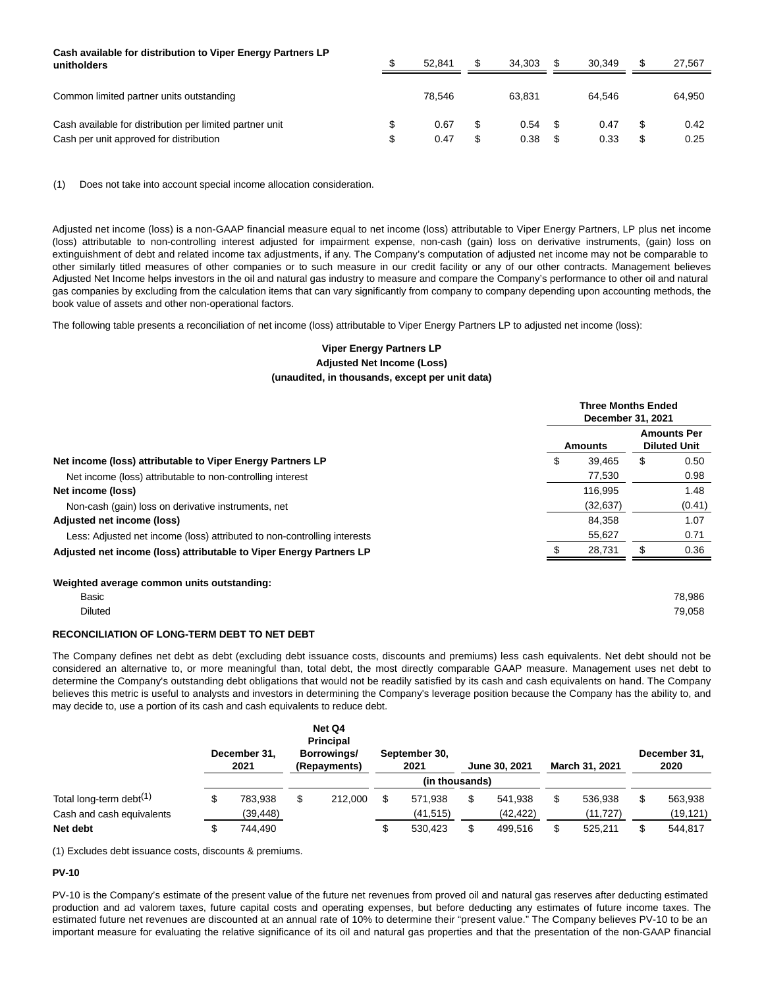| Cash available for distribution to Viper Energy Partners LP<br>unitholders                          |   | 52.841       |         | 34.303       |   | 30.349       | 27.567       |
|-----------------------------------------------------------------------------------------------------|---|--------------|---------|--------------|---|--------------|--------------|
| Common limited partner units outstanding                                                            |   | 78.546       |         | 63.831       |   | 64.546       | 64.950       |
| Cash available for distribution per limited partner unit<br>Cash per unit approved for distribution | S | 0.67<br>0.47 | \$<br>S | 0.54<br>0.38 | S | 0.47<br>0.33 | 0.42<br>0.25 |

(1) Does not take into account special income allocation consideration.

Adjusted net income (loss) is a non-GAAP financial measure equal to net income (loss) attributable to Viper Energy Partners, LP plus net income (loss) attributable to non-controlling interest adjusted for impairment expense, non-cash (gain) loss on derivative instruments, (gain) loss on extinguishment of debt and related income tax adjustments, if any. The Company's computation of adjusted net income may not be comparable to other similarly titled measures of other companies or to such measure in our credit facility or any of our other contracts. Management believes Adjusted Net Income helps investors in the oil and natural gas industry to measure and compare the Company's performance to other oil and natural gas companies by excluding from the calculation items that can vary significantly from company to company depending upon accounting methods, the book value of assets and other non-operational factors.

The following table presents a reconciliation of net income (loss) attributable to Viper Energy Partners LP to adjusted net income (loss):

## **Viper Energy Partners LP Adjusted Net Income (Loss) (unaudited, in thousands, except per unit data)**

|                                                                          | <b>Three Months Ended</b><br>December 31, 2021 |           |    |                                           |  |  |
|--------------------------------------------------------------------------|------------------------------------------------|-----------|----|-------------------------------------------|--|--|
|                                                                          |                                                | Amounts   |    | <b>Amounts Per</b><br><b>Diluted Unit</b> |  |  |
| Net income (loss) attributable to Viper Energy Partners LP               | \$                                             | 39.465    | \$ | 0.50                                      |  |  |
| Net income (loss) attributable to non-controlling interest               |                                                | 77,530    |    | 0.98                                      |  |  |
| Net income (loss)                                                        |                                                | 116,995   |    | 1.48                                      |  |  |
| Non-cash (gain) loss on derivative instruments, net                      |                                                | (32, 637) |    | (0.41)                                    |  |  |
| Adjusted net income (loss)                                               |                                                | 84.358    |    | 1.07                                      |  |  |
| Less: Adjusted net income (loss) attributed to non-controlling interests |                                                | 55,627    |    | 0.71                                      |  |  |
| Adjusted net income (loss) attributable to Viper Energy Partners LP      |                                                | 28,731    |    | 0.36                                      |  |  |
| Weighted average common units outstanding:                               |                                                |           |    |                                           |  |  |
| Basic                                                                    |                                                |           |    | 78.986                                    |  |  |

| Diluted | 79,058 |
|---------|--------|
|         |        |

### **RECONCILIATION OF LONG-TERM DEBT TO NET DEBT**

The Company defines net debt as debt (excluding debt issuance costs, discounts and premiums) less cash equivalents. Net debt should not be considered an alternative to, or more meaningful than, total debt, the most directly comparable GAAP measure. Management uses net debt to determine the Company's outstanding debt obligations that would not be readily satisfied by its cash and cash equivalents on hand. The Company believes this metric is useful to analysts and investors in determining the Company's leverage position because the Company has the ability to, and may decide to, use a portion of its cash and cash equivalents to reduce debt.

|                                     | December 31,<br>2021 | Net Q4<br><b>Principal</b><br>Borrowings/<br>(Repayments) | September 30,<br>2021 | June 30, 2021 | March 31, 2021 | December 31,<br>2020 |
|-------------------------------------|----------------------|-----------------------------------------------------------|-----------------------|---------------|----------------|----------------------|
|                                     |                      |                                                           | (in thousands)        |               |                |                      |
| Total long-term debt <sup>(1)</sup> | \$<br>783.938        | \$<br>212.000                                             | 571.938               | 541.938       | 536.938        | 563,938              |
| Cash and cash equivalents           | (39,448)             |                                                           | (41, 515)             | (42, 422)     | (11, 727)      | (19,121)             |
| Net debt                            | 744.490              |                                                           | 530.423               | 499.516       | 525.211        | 544.817              |

(1) Excludes debt issuance costs, discounts & premiums.

## **PV-10**

PV-10 is the Company's estimate of the present value of the future net revenues from proved oil and natural gas reserves after deducting estimated production and ad valorem taxes, future capital costs and operating expenses, but before deducting any estimates of future income taxes. The estimated future net revenues are discounted at an annual rate of 10% to determine their "present value." The Company believes PV-10 to be an important measure for evaluating the relative significance of its oil and natural gas properties and that the presentation of the non-GAAP financial